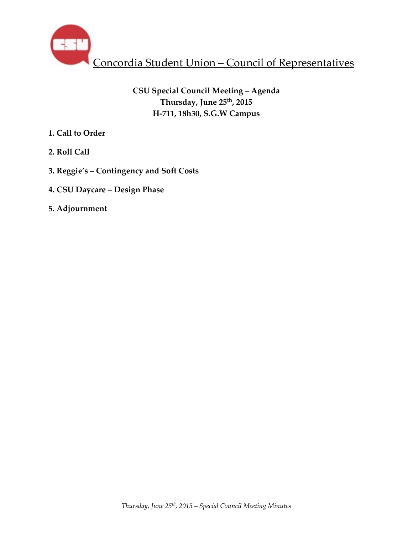

# **CSU Special Council Meeting – Agenda Thursday, June 25th, 2015 H-711, 18h30, S.G.W Campus**

- **1. Call to Order**
- **2. Roll Call**
- **3. Reggie's Contingency and Soft Costs**
- **4. CSU Daycare Design Phase**
- **5. Adjournment**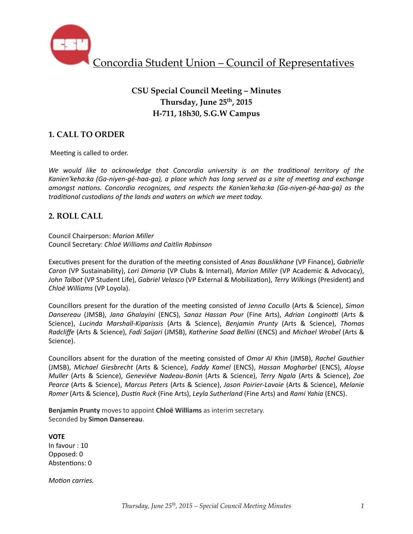

# **CSU Special Council Meeting – Minutes Thursday, June 25th, 2015 H-711, 18h30, S.G.W Campus**

## **1. CALL TO ORDER**

Meeting is called to order.

We would like to acknowledge that Concordia university is on the traditional territory of the Kanien'keha:ka (Ga-niyen-gé-haa-ga), a place which has long served as a site of meeting and exchange *amongst nations. Concordia recognizes, and respects the Kanien'keha:ka (Ga-niyen-gé-haa-ga)* as the traditional custodians of the lands and waters on which we meet today.

### **2. ROLL CALL**

Council Chairperson: *Marion Miller* Council Secretary: *Chloë Williams and Caitlin Robinson*

Executives present for the duration of the meeting consisted of *Anas Bouslikhane* (VP Finance), *Gabrielle Caron* (VP Sustainability), *Lori Dimaria* (VP Clubs & Internal), *Marion Miller* (VP Academic & Advocacy), John Talbot (VP Student Life), *Gabriel Velasco* (VP External & Mobilization), *Terry Wilkings* (President) and *Chloë Williams* (VP Loyola). 

Councillors present for the duration of the meeting consisted of Jenna Cocullo (Arts & Science), *Simon Dansereau* (JMSB), Jana Ghalayini (ENCS), *Sanaz Hassan Pour* (Fine Arts), Adrian Longinotti (Arts & Science), *Lucinda Marshall-Kiparissis* (Arts & Science), *Benjamin Prunty* (Arts & Science), Thomas *Radcliffe* (Arts & Science), *Fadi Saijari* (JMSB), *Katherine Soad Bellini* (ENCS) and *Michael Wrobel* (Arts & Science).

Councillors absent for the duration of the meeting consisted of *Omar Al Khin* (JMSB), *Rachel Gauthier* (JMSB), Michael Giesbrecht (Arts & Science), Faddy Kamel (ENCS), Hassan Mogharbel (ENCS), Aloyse *Muller* (Arts & Science), *Geneviève Nadeau-Bonin* (Arts & Science), *Terry Ngala* (Arts & Science), *Zoe Pearce* (Arts & Science), *Marcus Peters* (Arts & Science), *Jason Poirier-Lavoie* (Arts & Science), *Melanie Romer* (Arts & Science), *Dustin Ruck* (Fine Arts), *Leyla Sutherland* (Fine Arts) and *Rami Yahia* (ENCS).

**Benjamin Prunty** moves to appoint **Chloë Williams** as interim secretary. Seconded by **Simon Dansereau**.

**VOTE** In favour : 10 Opposed: 0 Abstentions: 0

*Motion carries.*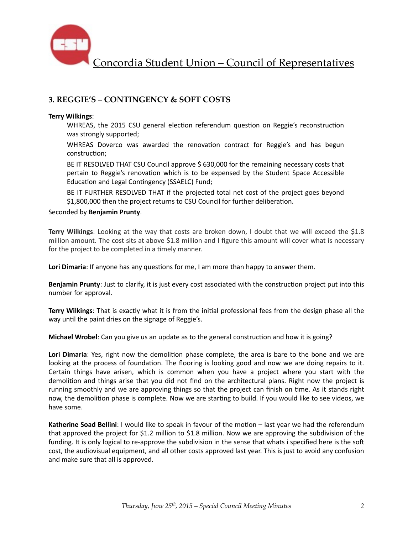

## **3. REGGIE'S – CONTINGENCY & SOFT COSTS**

#### **Terry Wilkings**:

WHREAS, the 2015 CSU general election referendum question on Reggie's reconstruction was strongly supported;

WHREAS Doverco was awarded the renovation contract for Reggie's and has begun construction:

BE IT RESOLVED THAT CSU Council approve \$ 630,000 for the remaining necessary costs that pertain to Reggie's renovation which is to be expensed by the Student Space Accessible Education and Legal Contingency (SSAELC) Fund;

BE IT FURTHER RESOLVED THAT if the projected total net cost of the project goes beyond \$1,800,000 then the project returns to CSU Council for further deliberation.

Seconded by **Benjamin Prunty**. 

**Terry Wilkings**: Looking at the way that costs are broken down, I doubt that we will exceed the \$1.8 million amount. The cost sits at above \$1.8 million and I figure this amount will cover what is necessary for the project to be completed in a timely manner.

Lori Dimaria: If anyone has any questions for me, I am more than happy to answer them.

**Benjamin Prunty**: Just to clarify, it is just every cost associated with the construction project put into this number for approval.

**Terry Wilkings**: That is exactly what it is from the initial professional fees from the design phase all the way until the paint dries on the signage of Reggie's.

**Michael Wrobel**: Can you give us an update as to the general construction and how it is going?

Lori Dimaria: Yes, right now the demolition phase complete, the area is bare to the bone and we are looking at the process of foundation. The flooring is looking good and now we are doing repairs to it. Certain things have arisen, which is common when you have a project where you start with the demolition and things arise that you did not find on the architectural plans. Right now the project is running smoothly and we are approving things so that the project can finish on time. As it stands right now, the demolition phase is complete. Now we are starting to build. If you would like to see videos, we have some.

**Katherine Soad Bellini:** I would like to speak in favour of the motion – last year we had the referendum that approved the project for \$1.2 million to \$1.8 million. Now we are approving the subdivision of the funding. It is only logical to re-approve the subdivision in the sense that whats i specified here is the soft cost, the audiovisual equipment, and all other costs approved last year. This is just to avoid any confusion and make sure that all is approved.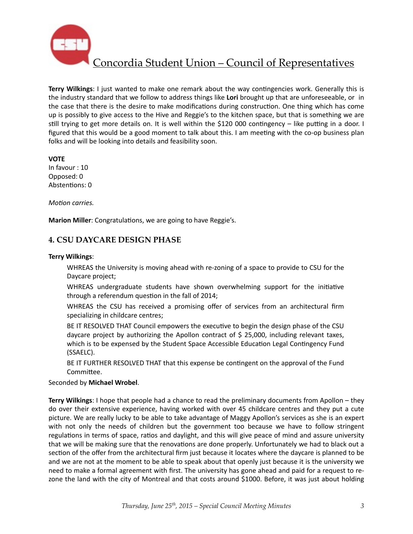

**Terry Wilkings**: I just wanted to make one remark about the way contingencies work. Generally this is the industry standard that we follow to address things like **Lori** brought up that are unforeseeable, or in the case that there is the desire to make modifications during construction. One thing which has come up is possibly to give access to the Hive and Reggie's to the kitchen space, but that is something we are still trying to get more details on. It is well within the \$120 000 contingency – like putting in a door. I figured that this would be a good moment to talk about this. I am meeting with the co-op business plan folks and will be looking into details and feasibility soon.

**VOTE** 

In favour : 10 Opposed: 0 Abstentions: 0

*Motion carries.* 

**Marion Miller:** Congratulations, we are going to have Reggie's.

### **4. CSU DAYCARE DESIGN PHASE**

#### **Terry Wilkings**:

WHREAS the University is moving ahead with re-zoning of a space to provide to CSU for the Daycare project;

WHREAS undergraduate students have shown overwhelming support for the initiative through a referendum question in the fall of 2014;

WHREAS the CSU has received a promising offer of services from an architectural firm specializing in childcare centres;

BE IT RESOLVED THAT Council empowers the executive to begin the design phase of the CSU daycare project by authorizing the Apollon contract of  $$25,000$ , including relevant taxes, which is to be expensed by the Student Space Accessible Education Legal Contingency Fund (SSAELC). 

BE IT FURTHER RESOLVED THAT that this expense be contingent on the approval of the Fund Committee.

#### Seconded by **Michael Wrobel**.

**Terry Wilkings**: I hope that people had a chance to read the preliminary documents from Apollon – they do over their extensive experience, having worked with over 45 childcare centres and they put a cute picture. We are really lucky to be able to take advantage of Maggy Apollon's services as she is an expert with not only the needs of children but the government too because we have to follow stringent regulations in terms of space, ratios and daylight, and this will give peace of mind and assure university that we will be making sure that the renovations are done properly. Unfortunately we had to black out a section of the offer from the architectural firm just because it locates where the daycare is planned to be and we are not at the moment to be able to speak about that openly just because it is the university we need to make a formal agreement with first. The university has gone ahead and paid for a request to rezone the land with the city of Montreal and that costs around \$1000. Before, it was just about holding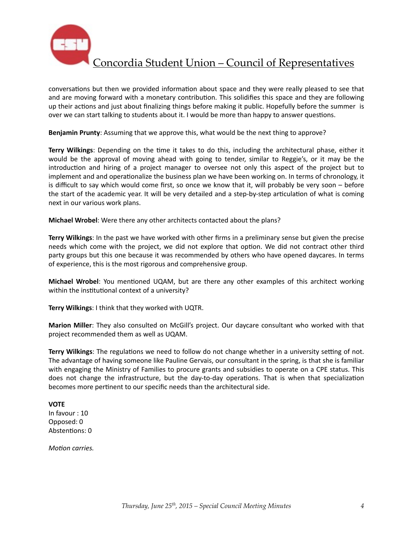

conversations but then we provided information about space and they were really pleased to see that and are moving forward with a monetary contribution. This solidifies this space and they are following up their actions and just about finalizing things before making it public. Hopefully before the summer is over we can start talking to students about it. I would be more than happy to answer questions.

**Benjamin Prunty**: Assuming that we approve this, what would be the next thing to approve?

**Terry Wilkings**: Depending on the time it takes to do this, including the architectural phase, either it would be the approval of moving ahead with going to tender, similar to Reggie's, or it may be the introduction and hiring of a project manager to oversee not only this aspect of the project but to implement and and operationalize the business plan we have been working on. In terms of chronology, it is difficult to say which would come first, so once we know that it, will probably be very soon – before the start of the academic year. It will be very detailed and a step-by-step articulation of what is coming next in our various work plans.

**Michael Wrobel:** Were there any other architects contacted about the plans?

**Terry Wilkings**: In the past we have worked with other firms in a preliminary sense but given the precise needs which come with the project, we did not explore that option. We did not contract other third party groups but this one because it was recommended by others who have opened daycares. In terms of experience, this is the most rigorous and comprehensive group.

**Michael Wrobel**: You mentioned UQAM, but are there any other examples of this architect working within the institutional context of a university?

**Terry Wilkings: I think that they worked with UQTR.** 

**Marion Miller**: They also consulted on McGill's project. Our daycare consultant who worked with that project recommended them as well as UQAM.

**Terry Wilkings**: The regulations we need to follow do not change whether in a university setting of not. The advantage of having someone like Pauline Gervais, our consultant in the spring, is that she is familiar with engaging the Ministry of Families to procure grants and subsidies to operate on a CPE status. This does not change the infrastructure, but the day-to-day operations. That is when that specialization becomes more pertinent to our specific needs than the architectural side.

#### **VOTE**

In favour : 10 Opposed: 0 Abstentions: 0

*Motion carries.*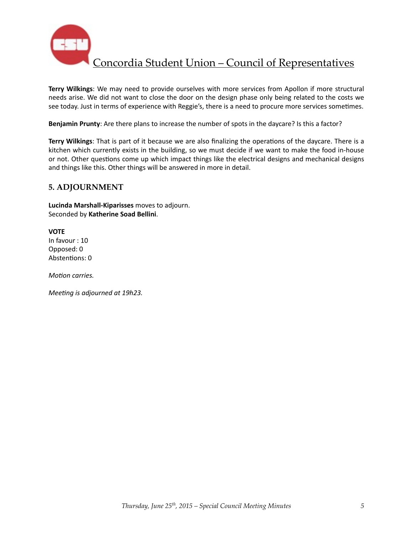

**Terry Wilkings:** We may need to provide ourselves with more services from Apollon if more structural needs arise. We did not want to close the door on the design phase only being related to the costs we see today. Just in terms of experience with Reggie's, there is a need to procure more services sometimes.

**Benjamin Prunty**: Are there plans to increase the number of spots in the daycare? Is this a factor?

**Terry Wilkings**: That is part of it because we are also finalizing the operations of the daycare. There is a kitchen which currently exists in the building, so we must decide if we want to make the food in-house or not. Other questions come up which impact things like the electrical designs and mechanical designs and things like this. Other things will be answered in more in detail.

### **5. ADJOURNMENT**

**Lucinda Marshall-Kiparisses** moves to adjourn. Seconded by **Katherine Soad Bellini**. 

**VOTE** In favour : 10 Opposed: 0 Abstentions: 0

*Motion carries.* 

*Meeting is adjourned at 19h23.*